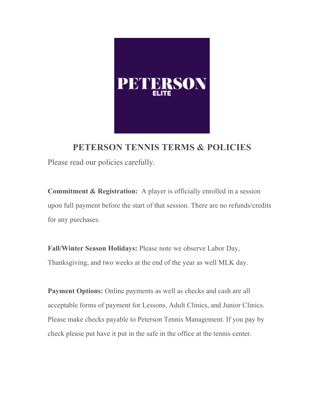

**PETERSON TENNIS TERMS & POLICIES** Please read our policies carefully.

**Commitment & Registration:** A player is officially enrolled in a session upon full payment before the start of that session. There are no refunds/credits for any purchases.

**Fall/Winter Season Holidays:** Please note we observe Labor Day, Thanksgiving, and two weeks at the end of the year as well MLK day.

**Payment Options:** Online payments as well as checks and cash are all acceptable forms of payment for Lessons, Adult Clinics, and Junior Clinics. Please make checks payable to Peterson Tennis Management. If you pay by check please put have it put in the safe in the office at the tennis center.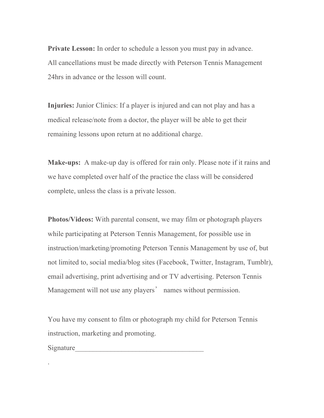**Private Lesson:** In order to schedule a lesson you must pay in advance. All cancellations must be made directly with Peterson Tennis Management 24hrs in advance or the lesson will count.

**Injuries:** Junior Clinics: If a player is injured and can not play and has a medical release/note from a doctor, the player will be able to get their remaining lessons upon return at no additional charge.

**Make-ups:** A make-up day is offered for rain only. Please note if it rains and we have completed over half of the practice the class will be considered complete, unless the class is a private lesson.

**Photos/Videos:** With parental consent, we may film or photograph players while participating at Peterson Tennis Management, for possible use in instruction/marketing/promoting Peterson Tennis Management by use of, but not limited to, social media/blog sites (Facebook, Twitter, Instagram, Tumblr), email advertising, print advertising and or TV advertising. Peterson Tennis Management will not use any players' names without permission.

You have my consent to film or photograph my child for Peterson Tennis instruction, marketing and promoting.

Signature

.